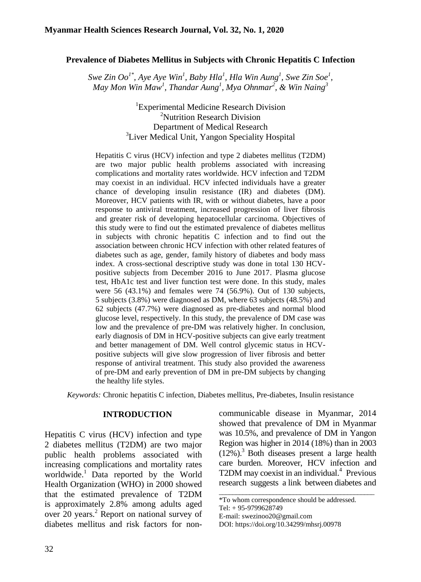### **Prevalence of Diabetes Mellitus in Subjects with Chronic Hepatitis C Infection**

*Swe Zin Oo1\* , Aye Aye Win<sup>1</sup> , Baby Hla<sup>1</sup> , Hla Win Aung<sup>1</sup> , Swe Zin Soe<sup>1</sup> , May Mon Win Maw<sup>1</sup> , Thandar Aung<sup>1</sup> , Mya Ohnmar<sup>2</sup> , & Win Naing<sup>3</sup>*

> <sup>1</sup>Experimental Medicine Research Division <sup>2</sup>Nutrition Research Division Department of Medical Research <sup>3</sup>Liver Medical Unit, Yangon Speciality Hospital

Hepatitis C virus (HCV) infection and type 2 diabetes mellitus (T2DM) are two major public health problems associated with increasing complications and mortality rates worldwide. HCV infection and T2DM may coexist in an individual. HCV infected individuals have a greater chance of developing insulin resistance (IR) and diabetes (DM). Moreover, HCV patients with IR, with or without diabetes, have a poor response to antiviral treatment, increased progression of liver fibrosis and greater risk of developing hepatocellular carcinoma. Objectives of this study were to find out the estimated prevalence of diabetes mellitus in subjects with chronic hepatitis C infection and to find out the association between chronic HCV infection with other related features of diabetes such as age, gender, family history of diabetes and body mass index. A cross-sectional descriptive study was done in total 130 HCVpositive subjects from December 2016 to June 2017. Plasma glucose test, HbA1c test and liver function test were done. In this study, males were 56 (43.1%) and females were 74 (56.9%). Out of 130 subjects, 5 subjects (3.8%) were diagnosed as DM, where 63 subjects (48.5%) and 62 subjects (47.7%) were diagnosed as pre-diabetes and normal blood glucose level, respectively. In this study, the prevalence of DM case was low and the prevalence of pre-DM was relatively higher. In conclusion, early diagnosis of DM in HCV-positive subjects can give early treatment and better management of DM. Well control glycemic status in HCVpositive subjects will give slow progression of liver fibrosis and better response of antiviral treatment. This study also provided the awareness of pre-DM and early prevention of DM in pre-DM subjects by changing the healthy life styles.

*Keywords:* Chronic hepatitis C infection, Diabetes mellitus, Pre-diabetes, Insulin resistance

### **INTRODUCTION**

Hepatitis C virus (HCV) infection and type 2 diabetes mellitus (T2DM) are two major public health problems associated with increasing complications and mortality rates worldwide.<sup>1</sup> Data reported by the World Health Organization (WHO) in 2000 showed that the estimated prevalence of T2DM is approximately 2.8% among adults aged over 20 years.<sup>2</sup> Report on national survey of diabetes mellitus and risk factors for noncommunicable disease in Myanmar, 2014 showed that prevalence of DM in Myanmar was 10.5%, and prevalence of DM in Yangon Region was higher in 2014 (18%) than in 2003  $(12\%)$ .<sup>3</sup> Both diseases present a large health care burden. Moreover, HCV infection and T2DM may coexist in an individual.<sup>4</sup> Previous research suggests a link between diabetes and

\_\_\_\_\_\_\_\_\_\_\_\_\_\_\_\_\_\_\_\_\_\_\_\_\_\_\_\_\_\_\_\_\_\_\_\_\_\_\_\_\_\_\_\_\_\_

<sup>\*</sup>To whom correspondence should be addressed.

Tel: + 95-9799628749

E-mail: [swezinoo20@gmail.com](mailto:swezinoo20@gmail.com)

DOI: [https://doi.org/10.34299/mhsrj.0097](https://doi.org/10.34299/mhsrj.009)8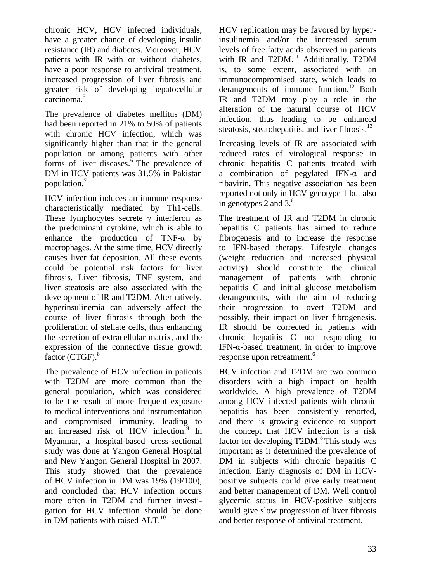chronic HCV, HCV infected individuals, have a greater chance of developing insulin resistance (IR) and diabetes. Moreover, HCV patients with IR with or without diabetes, have a poor response to antiviral treatment, increased progression of liver fibrosis and greater risk of developing hepatocellular carcinoma.<sup>5</sup>

The prevalence of diabetes mellitus (DM) had been reported in 21% to 50% of patients with chronic HCV infection, which was significantly higher than that in the general population or among patients with other forms of liver diseases. $6$  The prevalence of DM in HCV patients was 31.5% in Pakistan population.<sup>7</sup>

HCV infection induces an immune response characteristically mediated by Th1-cells. These lymphocytes secrete  $\gamma$  interferon as the predominant cytokine, which is able to enhance the production of TNF-α by macrophages. At the same time, HCV directly causes liver fat deposition. All these events could be potential risk factors for liver fibrosis. Liver fibrosis, TNF system, and liver steatosis are also associated with the development of IR and T2DM. Alternatively, hyperinsulinemia can adversely affect the course of liver fibrosis through both the proliferation of stellate cells, thus enhancing the secretion of extracellular matrix, and the expression of the connective tissue growth factor (CTGF).<sup>8</sup>

The prevalence of HCV infection in patients with T2DM are more common than the general population, which was considered to be the result of more frequent exposure to medical interventions and instrumentation and compromised immunity, leading to an increased risk of HCV infection.<sup>9</sup> In Myanmar, a hospital-based cross-sectional study was done at Yangon General Hospital and New Yangon General Hospital in 2007. This study showed that the prevalence of HCV infection in DM was 19% (19/100), and concluded that HCV infection occurs more often in T2DM and further investigation for HCV infection should be done in DM patients with raised  $ALT$ <sup>10</sup>

HCV replication may be favored by hyperinsulinemia and/or the increased serum levels of free fatty acids observed in patients with IR and  $T2DM.<sup>11</sup>$  Additionally,  $T2DM$ is, to some extent, associated with an immunocompromised state, which leads to derangements of immune function.<sup>12</sup> Both IR and T2DM may play a role in the alteration of the natural course of HCV infection, thus leading to be enhanced steatosis, steatohepatitis, and liver fibrosis. $13$ 

Increasing levels of IR are associated with reduced rates of virological response in chronic hepatitis C patients treated with a combination of pegylated IFN-α and ribavirin. This negative association has been reported not only in HCV genotype 1 but also in genotypes 2 and  $3<sup>6</sup>$ .

The treatment of IR and T2DM in chronic hepatitis C patients has aimed to reduce fibrogenesis and to increase the response to IFN-based therapy. Lifestyle changes (weight reduction and increased physical activity) should constitute the clinical management of patients with chronic hepatitis C and initial glucose metabolism derangements, with the aim of reducing their progression to overt T2DM and possibly, their impact on liver fibrogenesis. IR should be corrected in patients with chronic hepatitis C not responding to IFN-α-based treatment, in order to improve response upon retreatment.<sup>6</sup>

HCV infection and T2DM are two common disorders with a high impact on health worldwide. A high prevalence of T2DM among HCV infected patients with chronic hepatitis has been consistently reported, and there is growing evidence to support the concept that HCV infection is a risk factor for developing  $T2DM.<sup>8</sup>$  This study was important as it determined the prevalence of DM in subjects with chronic hepatitis C infection. Early diagnosis of DM in HCVpositive subjects could give early treatment and better management of DM. Well control glycemic status in HCV-positive subjects would give slow progression of liver fibrosis and better response of antiviral treatment.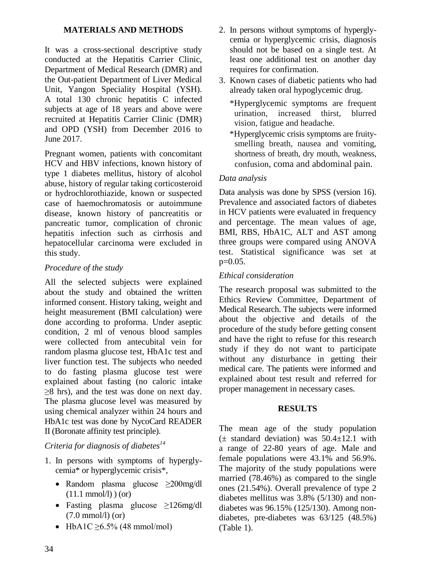## **MATERIALS AND METHODS**

It was a cross-sectional descriptive study conducted at the Hepatitis Carrier Clinic, Department of Medical Research (DMR) and the Out-patient Department of Liver Medical Unit, Yangon Speciality Hospital (YSH). A total 130 chronic hepatitis C infected subjects at age of 18 years and above were recruited at Hepatitis Carrier Clinic (DMR) and OPD (YSH) from December 2016 to June 2017.

Pregnant women, patients with concomitant HCV and HBV infections, known history of type 1 diabetes mellitus, history of alcohol abuse, history of regular taking corticosteroid or hydrochlorothiazide, known or suspected case of haemochromatosis or autoimmune disease, known history of pancreatitis or pancreatic tumor, complication of chronic hepatitis infection such as cirrhosis and hepatocellular carcinoma were excluded in this study.

# *Procedure of the study*

All the selected subjects were explained about the study and obtained the written informed consent. History taking, weight and height measurement (BMI calculation) were done according to proforma. Under aseptic condition, 2 ml of venous blood samples were collected from antecubital vein for random plasma glucose test, HbA1c test and liver function test. The subjects who needed to do fasting plasma glucose test were explained about fasting (no caloric intake ≥8 hrs), and the test was done on next day. The plasma glucose level was measured by using chemical analyzer within 24 hours and HbA1c test was done by NycoCard READER II (Boronate affinity test principle).

## *Criteria for diagnosis of diabetes<sup>14</sup>*

- 1. In persons with symptoms of hyperglycemia\* or hyperglycemic crisis\*,
	- Random plasma glucose ≥200mg/dl  $(11.1 \text{ mmol/l})$ ) (or)
	- Fasting plasma glucose ≥126mg/dl (7.0 mmol/l) (or)
	- HbA1C  $\geq 6.5\%$  (48 mmol/mol)
- 2. In persons without symptoms of hyperglycemia or hyperglycemic crisis, diagnosis should not be based on a single test. At least one additional test on another day requires for confirmation.
- 3. Known cases of diabetic patients who had already taken oral hypoglycemic drug.
	- \*Hyperglycemic symptoms are frequent urination, increased thirst, blurred vision, fatigue and headache.
	- \*Hyperglycemic crisis symptoms are fruitysmelling breath, nausea and vomiting, shortness of breath, dry mouth, weakness, confusion, coma and abdominal pain.

# *Data analysis*

Data analysis was done by SPSS (version 16). Prevalence and associated factors of diabetes in HCV patients were evaluated in frequency and percentage. The mean values of age, BMI, RBS, HbA1C, ALT and AST among three groups were compared using ANOVA test. Statistical significance was set at  $p=0.05$ .

## *Ethical consideration*

The research proposal was submitted to the Ethics Review Committee, Department of Medical Research. The subjects were informed about the objective and details of the procedure of the study before getting consent and have the right to refuse for this research study if they do not want to participate without any disturbance in getting their medical care. The patients were informed and explained about test result and referred for proper management in necessary cases.

## **RESULTS**

The mean age of the study population  $(\pm$  standard deviation) was  $50.4 \pm 12.1$  with a range of 22-80 years of age. Male and female populations were 43.1% and 56.9%. The majority of the study populations were married (78.46%) as compared to the single ones (21.54%). Overall prevalence of type 2 diabetes mellitus was 3.8% (5/130) and nondiabetes was 96.15% (125/130). Among nondiabetes, pre-diabetes was 63/125 (48.5%) (Table 1).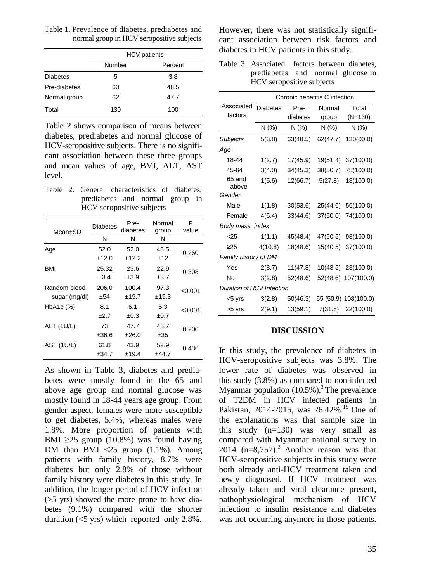Table 1. Prevalence of diabetes, prediabetes and normal group in HCV seropositive subjects

|                 | <b>HCV</b> patients | diabetes i |            |
|-----------------|---------------------|------------|------------|
|                 | Number              | Percent    | Table 3.   |
| <b>Diabetes</b> | 5                   | 3.8        |            |
| Pre-diabetes    | 63                  | 48.5       |            |
| Normal group    | 62                  | 47.7       |            |
| Total           | 130                 | 100        | Associated |

Table 2 shows comparison of means between diabetes, prediabetes and normal glucose of HCV-seropositive subjects. There is no significant association between these three groups and mean values of age, BMI, ALT, AST level.

Table 2. General characteristics of diabetes, prediabetes and normal group in HCV seropositive subjects

| Mean±SD           | <b>Diabetes</b> | Pre-<br>diabetes | Normal<br>group | P<br>value |
|-------------------|-----------------|------------------|-----------------|------------|
|                   | N               | N                | N               |            |
| Age               | 52.0            | 52.0             | 48.5            | 0.260      |
|                   | ±12.0           | ±12.2            | ±12             |            |
| <b>BMI</b>        | 25.32           | 23.6             | 22.9            | 0.308      |
|                   | ±3.4            | $\pm 3.9$        | $\pm 3.7$       |            |
| Random blood      | 206.0           | 100.4            | 97.3            | < 0.001    |
| sugar (mg/dl)     | ±54             | ±19.7            | ±19.3           |            |
| HbA1c (%)         | 8.1             | 6.1              | 5.3             | < 0.001    |
|                   | $+2.7$          | ±0.3             | ±0.7            |            |
| <b>ALT (1U/L)</b> | 73              | 47.7             | 45.7            | 0.200      |
|                   | ±36.6           | ±26.0            | ±35             |            |
| AST (1U/L)        | 61.8            | 43.9             | 52.9            | 0.436      |
|                   | ±34.7           | ±19.4            | ±44.7           |            |

As shown in Table 3, diabetes and prediabetes were mostly found in the 65 and above age group and normal glucose was mostly found in 18-44 years age group. From gender aspect, females were more susceptible to get diabetes, 5.4%, whereas males were 1.8%. More proportion of patients with BMI  $\geq$ 25 group (10.8%) was found having DM than BMI  $\langle 25 \rangle$  group (1.1%). Among patients with family history, 8.7% were diabetes but only 2.8% of those without family history were diabetes in this study. In addition, the longer period of HCV infection (>5 yrs) showed the more prone to have diabetes (9.1%) compared with the shorter duration (<5 yrs) which reported only 2.8%. However, there was not statistically significant association between risk factors and diabetes in HCV patients in this study.

Table 3. Associated factors between diabetes, prediabetes and normal glucose in HCV seropositive subjects

|                           | Chronic hepatitis C infection |          |          |                      |  |  |  |
|---------------------------|-------------------------------|----------|----------|----------------------|--|--|--|
| Associated                | <b>Diabetes</b>               | Pre-     | Normal   | Total                |  |  |  |
| factors                   |                               | diabetes | group    | $(N=130)$            |  |  |  |
|                           | N (%)                         | N(% )    | N(%)     | N(% )                |  |  |  |
| Subjects                  | 5(3.8)                        | 63(48.5) | 62(47.7) | 130(00.0)            |  |  |  |
| Age                       |                               |          |          |                      |  |  |  |
| 18-44                     | 1(2.7)                        | 17(45.9) | 19(51.4) | 37(100.0)            |  |  |  |
| 45-64                     | 3(4.0)                        | 34(45.3) | 38(50.7) | 75(100.0)            |  |  |  |
| 65 and<br>above           | 1(5.6)                        | 12(66.7) | 5(27.8)  | 18(100.0)            |  |  |  |
| Gender                    |                               |          |          |                      |  |  |  |
| Male                      | 1(1.8)                        | 30(53.6) | 25(44.6) | 56(100.0)            |  |  |  |
| Female                    | 4(5.4)                        | 33(44.6) | 37(50.0) | 74(100.0)            |  |  |  |
| Body mass index           |                               |          |          |                      |  |  |  |
| < 25                      | 1(1.1)                        | 45(48.4) | 47(50.5) | 93(100.0)            |  |  |  |
| $\geq$ 25                 | 4(10.8)                       | 18(48.6) | 15(40.5) | 37(100.0)            |  |  |  |
| Family history of DM      |                               |          |          |                      |  |  |  |
| Yes                       | 2(8.7)                        | 11(47.8) | 10(43.5) | 23(100.0)            |  |  |  |
| <b>No</b>                 | 3(2.8)                        | 52(48.6) |          | 52(48.6) 107(100.0)  |  |  |  |
| Duration of HCV Infection |                               |          |          |                      |  |  |  |
| <5 yrs                    | 3(2.8)                        | 50(46.3) |          | 55 (50.9) 108(100.0) |  |  |  |
| >5 yrs                    | 2(9.1)                        | 13(59.1) | 7(31.8)  | 22(100.0)            |  |  |  |

#### **DISCUSSION**

In this study, the prevalence of diabetes in HCV-seropositive subjects was 3.8%. The lower rate of diabetes was observed in this study (3.8%) as compared to non-infected Myanmar population  $(10.5\%)$ .<sup>3</sup> The prevalence of T2DM in HCV infected patients in Pakistan, 2014-2015, was  $26.42\%$ .<sup>15</sup> One of the explanations was that sample size in this study  $(n=130)$  was very small as compared with Myanmar national survey in  $2014$  (n=8,757).<sup>3</sup> Another reason was that HCV-seropositive subjects in this study were both already anti-HCV treatment taken and newly diagnosed. If HCV treatment was already taken and viral clearance present, pathophysiological mechanism of HCV infection to insulin resistance and diabetes was not occurring anymore in those patients.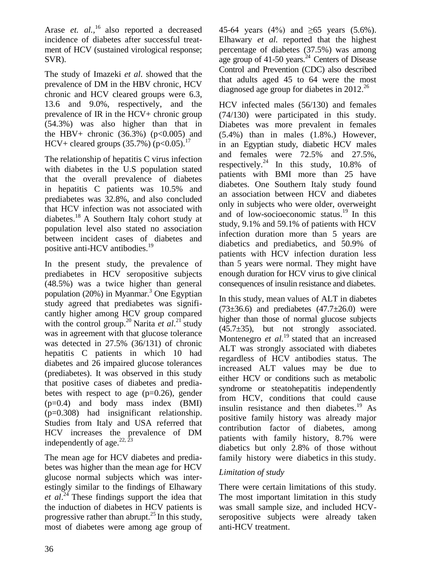Arase *et. al.*,<sup>16</sup> also reported a decreased incidence of diabetes after successful treatment of HCV (sustained virological response; SVR).

The study of Imazeki *et al*. showed that the prevalence of DM in the HBV chronic, HCV chronic and HCV cleared groups were 6.3, 13.6 and 9.0%, respectively, and the prevalence of IR in the HCV+ chronic group (54.3%) was also higher than that in the HBV+ chronic  $(36.3\%)$  (p<0.005) and HCV+ cleared groups  $(35.7%) (p<0.05).^{17}$ 

The relationship of hepatitis C virus infection with diabetes in the U.S population stated that the overall prevalence of diabetes in hepatitis C patients was 10.5% and prediabetes was 32.8%, and also concluded that HCV infection was not associated with diabetes.<sup>18</sup> A Southern Italy cohort study at population level also stated no association between incident cases of diabetes and positive anti-HCV antibodies.<sup>19</sup>

In the present study, the prevalence of prediabetes in HCV seropositive subjects (48.5%) was a twice higher than general population  $(20%)$  in Myanmar.<sup>3</sup> One Egyptian study agreed that prediabetes was significantly higher among HCV group compared with the control group.<sup>20</sup> Narita *et al.*<sup>21</sup> study was in agreement with that glucose tolerance was detected in 27.5% (36/131) of chronic hepatitis C patients in which 10 had diabetes and 26 impaired glucose tolerances (prediabetes). It was observed in this study that positive cases of diabetes and prediabetes with respect to age  $(p=0.26)$ , gender (p=0.4) and body mass index (BMI) (p=0.308) had insignificant relationship. Studies from Italy and USA referred that HCV increases the prevalence of DM independently of age. $22, 23$ 

The mean age for HCV diabetes and prediabetes was higher than the mean age for HCV glucose normal subjects which was interestingly similar to the findings of Elhawary *et al*. <sup>24</sup> These findings support the idea that the induction of diabetes in HCV patients is progressive rather than abrupt.<sup>25</sup> In this study, most of diabetes were among age group of 45-64 years (4%) and  $\geq 65$  years (5.6%). Elhawary *et al.* reported that the highest percentage of diabetes (37.5%) was among age group of 41-50 years. $24$  Centers of Disease Control and Prevention (CDC) also described that adults aged 45 to 64 were the most diagnosed age group for diabetes in  $2012^{26}$ 

HCV infected males (56/130) and females (74/130) were participated in this study. Diabetes was more prevalent in females (5.4%) than in males (1.8%.) However, in an Egyptian study, diabetic HCV males and females were 72.5% and 27.5%, respectively.<sup>24</sup> In this study,  $10.8\%$  of patients with BMI more than 25 have diabetes. One Southern Italy study found an association between HCV and diabetes only in subjects who were older, overweight and of low-socioeconomic status.<sup>19</sup> In this study, 9.1% and 59.1% of patients with HCV infection duration more than 5 years are diabetics and prediabetics, and 50.9% of patients with HCV infection duration less than 5 years were normal. They might have enough duration for HCV virus to give clinical consequences of insulin resistance and diabetes.

In this study, mean values of ALT in diabetes  $(73\pm36.6)$  and prediabetes  $(47.7\pm26.0)$  were higher than those of normal glucose subjects  $(45.7\pm35)$ , but not strongly associated. Montenegro *et al.*<sup>19</sup> stated that an increased ALT was strongly associated with diabetes regardless of HCV antibodies status. The increased ALT values may be due to either HCV or conditions such as metabolic syndrome or steatohepatitis independently from HCV, conditions that could cause insulin resistance and then diabetes.<sup>19</sup> As positive family history was already major contribution factor of diabetes, among patients with family history, 8.7% were diabetics but only 2.8% of those without family history were diabetics in this study.

# *Limitation of study*

There were certain limitations of this study. The most important limitation in this study was small sample size, and included HCVseropositive subjects were already taken anti-HCV treatment.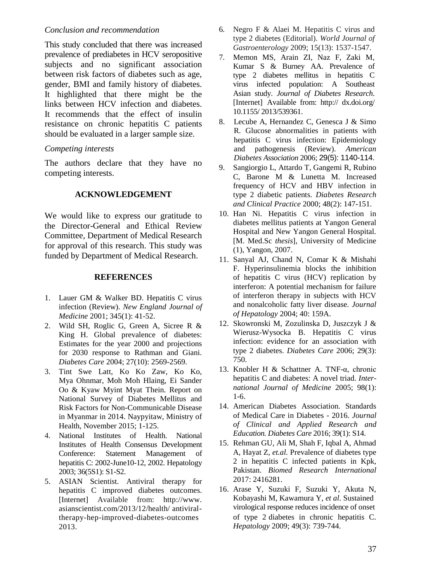#### *Conclusion and recommendation*

This study concluded that there was increased prevalence of prediabetes in HCV seropositive subjects and no significant association between risk factors of diabetes such as age, gender, BMI and family history of diabetes. It highlighted that there might be the links between HCV infection and diabetes. It recommends that the effect of insulin resistance on chronic hepatitis C patients should be evaluated in a larger sample size.

#### *Competing interests*

The authors declare that they have no competing interests.

### **ACKNOWLEDGEMENT**

We would like to express our gratitude to the Director-General and Ethical Review Committee, Department of Medical Research for approval of this research. This study was funded by Department of Medical Research.

#### **REFERENCES**

- 1. Lauer GM & Walker BD. Hepatitis C virus infection (Review). *New England Journal of Medicine* 2001; 345(1): 41-52.
- 2. Wild SH, Roglic G, Green A, Sicree R & King H. Global prevalence of diabetes: Estimates for the year 2000 and projections for 2030 response to Rathman and Giani. *Diabetes Care* 2004; 27(10): 2569-2569.
- 3. Tint Swe Latt, Ko Ko Zaw, Ko Ko, Mya Ohnmar, Moh Moh Hlaing, Ei Sander Oo & Kyaw Myint Myat Thein. Report on National Survey of Diabetes Mellitus and Risk Factors for Non-Communicable Disease in Myanmar in 2014. Naypyitaw, Ministry of Health, November 2015; 1-125.
- 4. National Institutes of Health. National Institutes of Health Consensus Development Conference: Statement Management of hepatitis C: 2002-June10-12, 2002. Hepatology 2003; 36(5S1): S1-S2.
- 5. ASIAN Scientist. Antiviral therapy for hepatitis C improved diabetes outcomes. [Internet] Available from: http://www. asianscientist.com/2013/12/health/ antiviraltherapy-hep-improved-diabetes-outcomes 2013.
- 6. Negro F & Alaei M. Hepatitis C virus and type 2 diabetes (Editorial). *World Journal of Gastroenterology* 2009; 15(13): 1537-1547.
- 7. Memon MS, Arain ZI, Naz F, Zaki M, Kumar S & Burney AA. Prevalence of type 2 diabetes mellitus in hepatitis C virus infected population: A Southeast Asian study. *Journal of Diabetes Research*. [Internet] Available from: http:// dx.doi.org/ 10.1155/ 2013/539361.
- 8. Lecube A, Hernandez C, Genesca J & Simo R. Glucose abnormalities in patients with hepatitis C virus infection: Epidemiology and pathogenesis (Review). *American Diabetes Association* 2006; 29(5): 1140-114.
- 9. [Sangiorgio](javascript:void(0);) L, [Attardo](javascript:void(0);) T, [Gangemi](javascript:void(0);) R, [Rubino](javascript:void(0);) C, [Barone](javascript:void(0);) M & [Lunetta](javascript:void(0);) M. Increased frequency of HCV and HBV infection in type 2 diabetic patients. *Diabetes Research and Clinical Practice* 2000; 48(2): 147-151.
- 10. Han Ni. Hepatitis C virus infection in diabetes mellitus patients at Yangon General Hospital and New Yangon General Hospital. [M. Med.Sc *thesis*], University of Medicine (1), Yangon, 2007.
- 11. Sanyal AJ, Chand N, Comar K & Mishahi F. Hyperinsulinemia blocks the inhibition of hepatitis C virus (HCV) replication by interferon: A potential mechanism for failure of interferon therapy in subjects with HCV and nonalcoholic fatty liver disease. *Journal of Hepatology* 2004; 40: 159A.
- 12. Skowronski M, Zozulinska D, Juszczyk J & Wierusz-Wysocka B. Hepatitis C virus infection: evidence for an association with type 2 diabetes. *Diabetes Care* 2006; 29(3): 750.
- 13. Knobler H & Schattner A. TNF-α, chronic hepatitis C and diabetes: A novel triad. *International Journal of Medicine* 2005; 98(1): 1-6.
- 14. American Diabetes Association. Standards of Medical Care in Diabetes - 2016. *Journal of Clinical and Applied Research and Education. Diabetes Care* 2016; 39(1): S14.
- 15. Rehman GU, Ali M, Shah F, Iqbal A, Ahmad A, Hayat Z, *et.al.* Prevalence of diabetes type 2 in hepatitis C infected patients in Kpk, Pakistan. *Biomed Research International*  2017: 2416281.
- 16. Arase Y, Suzuki F, Suzuki Y, Akuta N, Kobayashi M, Kawamura Y, *et al*. Sustained virological response reduces incidence of onset of type 2 diabetes in chronic hepatitis C. *Hepatology* 2009; 49(3): 739-744.